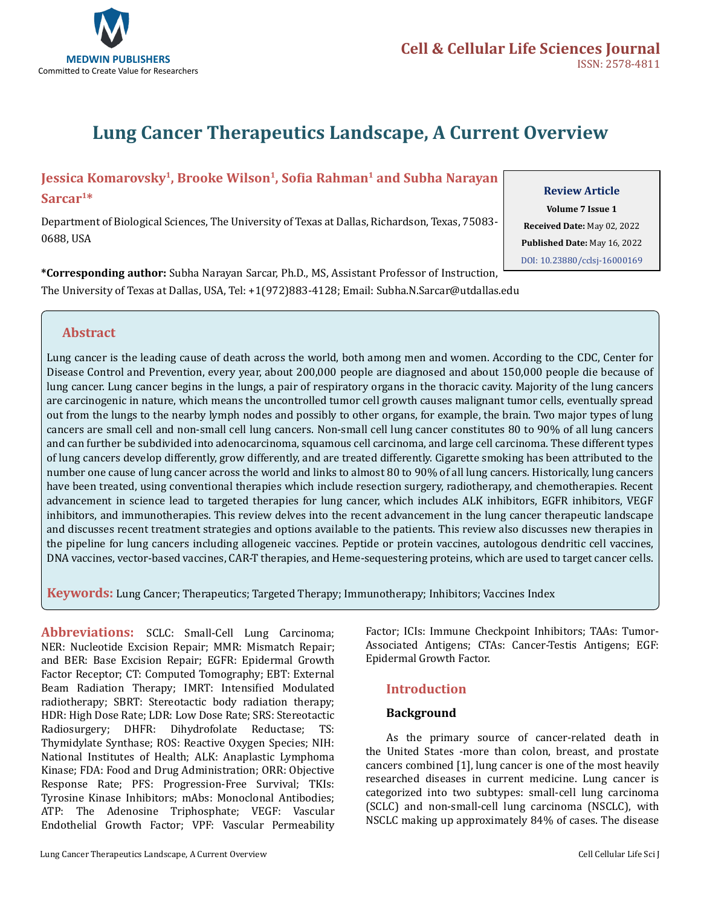

# **Lung Cancer Therapeutics Landscape, A Current Overview**

## **Jessica Komarovsky1, Brooke Wilson1, Sofia Rahman1 and Subha Narayan**

**Sarcar1\*** 

Department of Biological Sciences, The University of Texas at Dallas, Richardson, Texas, 75083- 0688, USA

**\*Corresponding author:** Subha Narayan Sarcar, Ph.D., MS, Assistant Professor of Instruction, The University of Texas at Dallas, USA, Tel: +1(972)883-4128; Email: Subha.N.Sarcar@utdallas.edu

### **Review Article**

**Volume 7 Issue 1 Received Date:** May 02, 2022 **Published Date:** May 16, 2022 [DOI: 10.23880/cclsj-1600016](https://doi.org/10.23880/cclsj-16000169)9

### **Abstract**

Lung cancer is the leading cause of death across the world, both among men and women. According to the CDC, Center for Disease Control and Prevention, every year, about 200,000 people are diagnosed and about 150,000 people die because of lung cancer. Lung cancer begins in the lungs, a pair of respiratory organs in the thoracic cavity. Majority of the lung cancers are carcinogenic in nature, which means the uncontrolled tumor cell growth causes malignant tumor cells, eventually spread out from the lungs to the nearby lymph nodes and possibly to other organs, for example, the brain. Two major types of lung cancers are small cell and non-small cell lung cancers. Non-small cell lung cancer constitutes 80 to 90% of all lung cancers and can further be subdivided into adenocarcinoma, squamous cell carcinoma, and large cell carcinoma. These different types of lung cancers develop differently, grow differently, and are treated differently. Cigarette smoking has been attributed to the number one cause of lung cancer across the world and links to almost 80 to 90% of all lung cancers. Historically, lung cancers have been treated, using conventional therapies which include resection surgery, radiotherapy, and chemotherapies. Recent advancement in science lead to targeted therapies for lung cancer, which includes ALK inhibitors, EGFR inhibitors, VEGF inhibitors, and immunotherapies. This review delves into the recent advancement in the lung cancer therapeutic landscape and discusses recent treatment strategies and options available to the patients. This review also discusses new therapies in the pipeline for lung cancers including allogeneic vaccines. Peptide or protein vaccines, autologous dendritic cell vaccines, DNA vaccines, vector-based vaccines, CAR-T therapies, and Heme-sequestering proteins, which are used to target cancer cells.

**Keywords:** Lung Cancer; Therapeutics; Targeted Therapy; Immunotherapy; Inhibitors; Vaccines Index

**Abbreviations:** SCLC: Small-Cell Lung Carcinoma; NER: Nucleotide Excision Repair; MMR: Mismatch Repair; and BER: Base Excision Repair; EGFR: Epidermal Growth Factor Receptor; CT: Computed Tomography; EBT: External Beam Radiation Therapy; IMRT: Intensified Modulated radiotherapy; SBRT: Stereotactic body radiation therapy; HDR: High Dose Rate; LDR: Low Dose Rate; SRS: Stereotactic Radiosurgery; DHFR: Dihydrofolate Reductase; TS: Thymidylate Synthase; ROS: Reactive Oxygen Species; NIH: National Institutes of Health; ALK: Anaplastic Lymphoma Kinase; FDA: Food and Drug Administration; ORR: Objective Response Rate; PFS: Progression-Free Survival; TKIs: Tyrosine Kinase Inhibitors; mAbs: Monoclonal Antibodies; ATP: The Adenosine Triphosphate; VEGF: Vascular Endothelial Growth Factor; VPF: Vascular Permeability

Factor; ICIs: Immune Checkpoint Inhibitors; TAAs: Tumor-Associated Antigens; CTAs: Cancer-Testis Antigens; EGF: Epidermal Growth Factor.

# **Introduction**

### **Background**

As the primary source of cancer-related death in the United States -more than colon, breast, and prostate cancers combined [1], lung cancer is one of the most heavily researched diseases in current medicine. Lung cancer is categorized into two subtypes: small-cell lung carcinoma (SCLC) and non-small-cell lung carcinoma (NSCLC), with NSCLC making up approximately 84% of cases. The disease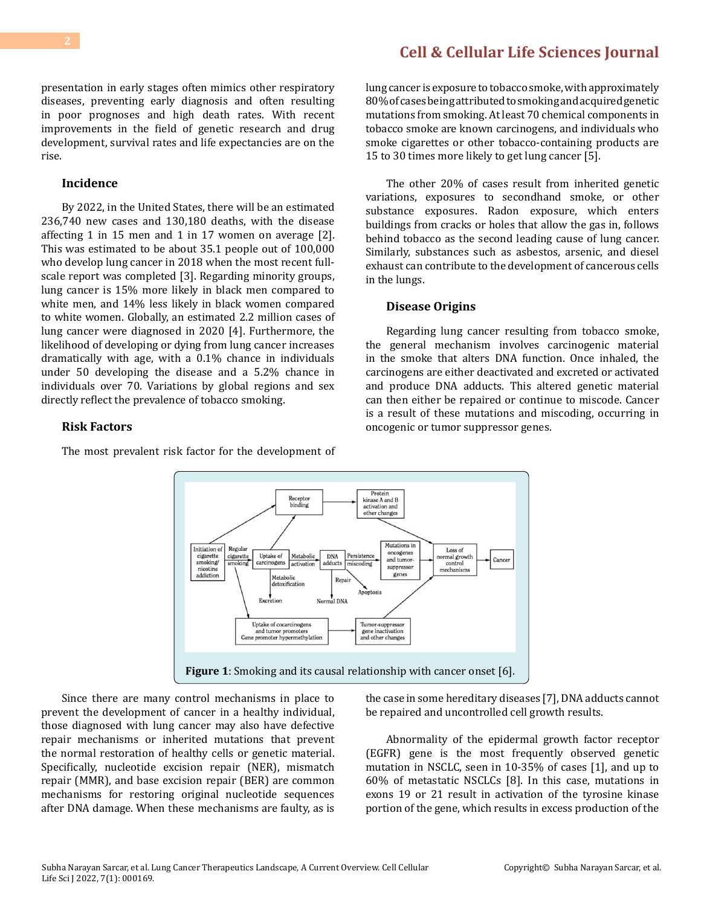presentation in early stages often mimics other respiratory diseases, preventing early diagnosis and often resulting in poor prognoses and high death rates. With recent improvements in the field of genetic research and drug development, survival rates and life expectancies are on the rise.

#### **Incidence**

By 2022, in the United States, there will be an estimated 236,740 new cases and 130,180 deaths, with the disease affecting 1 in 15 men and 1 in 17 women on average [2]. This was estimated to be about 35.1 people out of 100,000 who develop lung cancer in 2018 when the most recent fullscale report was completed [3]. Regarding minority groups, lung cancer is 15% more likely in black men compared to white men, and 14% less likely in black women compared to white women. Globally, an estimated 2.2 million cases of lung cancer were diagnosed in 2020 [4]. Furthermore, the likelihood of developing or dying from lung cancer increases dramatically with age, with a 0.1% chance in individuals under 50 developing the disease and a 5.2% chance in individuals over 70. Variations by global regions and sex directly reflect the prevalence of tobacco smoking.

#### **Risk Factors**

The most prevalent risk factor for the development of

lung cancer is exposure to tobacco smoke, with approximately 80% of cases being attributed to smoking and acquired genetic mutations from smoking. At least 70 chemical components in tobacco smoke are known carcinogens, and individuals who smoke cigarettes or other tobacco-containing products are 15 to 30 times more likely to get lung cancer [5].

The other 20% of cases result from inherited genetic variations, exposures to secondhand smoke, or other substance exposures. Radon exposure, which enters buildings from cracks or holes that allow the gas in, follows behind tobacco as the second leading cause of lung cancer. Similarly, substances such as asbestos, arsenic, and diesel exhaust can contribute to the development of cancerous cells in the lungs.

#### **Disease Origins**

Regarding lung cancer resulting from tobacco smoke, the general mechanism involves carcinogenic material in the smoke that alters DNA function. Once inhaled, the carcinogens are either deactivated and excreted or activated and produce DNA adducts. This altered genetic material can then either be repaired or continue to miscode. Cancer is a result of these mutations and miscoding, occurring in oncogenic or tumor suppressor genes.



Since there are many control mechanisms in place to prevent the development of cancer in a healthy individual, those diagnosed with lung cancer may also have defective repair mechanisms or inherited mutations that prevent the normal restoration of healthy cells or genetic material. Specifically, nucleotide excision repair (NER), mismatch repair (MMR), and base excision repair (BER) are common mechanisms for restoring original nucleotide sequences after DNA damage. When these mechanisms are faulty, as is

the case in some hereditary diseases [7], DNA adducts cannot be repaired and uncontrolled cell growth results.

Abnormality of the epidermal growth factor receptor (EGFR) gene is the most frequently observed genetic mutation in NSCLC, seen in 10-35% of cases [1], and up to 60% of metastatic NSCLCs [8]. In this case, mutations in exons 19 or 21 result in activation of the tyrosine kinase portion of the gene, which results in excess production of the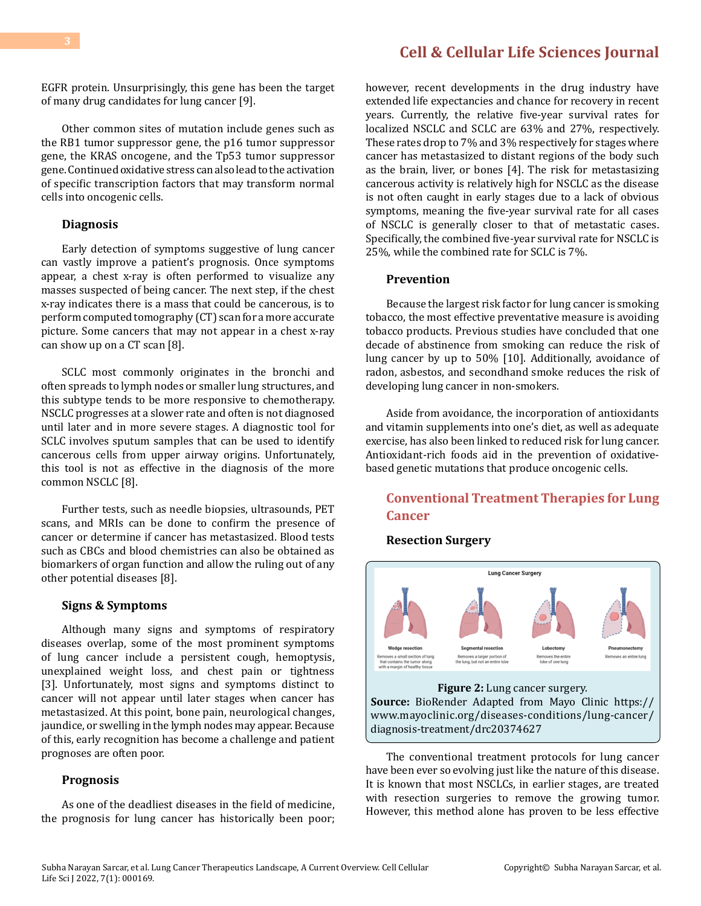EGFR protein. Unsurprisingly, this gene has been the target of many drug candidates for lung cancer [9].

Other common sites of mutation include genes such as the RB1 tumor suppressor gene, the p16 tumor suppressor gene, the KRAS oncogene, and the Tp53 tumor suppressor gene. Continued oxidative stress can also lead to the activation of specific transcription factors that may transform normal cells into oncogenic cells.

#### **Diagnosis**

Early detection of symptoms suggestive of lung cancer can vastly improve a patient's prognosis. Once symptoms appear, a chest x-ray is often performed to visualize any masses suspected of being cancer. The next step, if the chest x-ray indicates there is a mass that could be cancerous, is to perform computed tomography (CT) scan for a more accurate picture. Some cancers that may not appear in a chest x-ray can show up on a CT scan [8].

SCLC most commonly originates in the bronchi and often spreads to lymph nodes or smaller lung structures, and this subtype tends to be more responsive to chemotherapy. NSCLC progresses at a slower rate and often is not diagnosed until later and in more severe stages. A diagnostic tool for SCLC involves sputum samples that can be used to identify cancerous cells from upper airway origins. Unfortunately, this tool is not as effective in the diagnosis of the more common NSCLC [8].

Further tests, such as needle biopsies, ultrasounds, PET scans, and MRIs can be done to confirm the presence of cancer or determine if cancer has metastasized. Blood tests such as CBCs and blood chemistries can also be obtained as biomarkers of organ function and allow the ruling out of any other potential diseases [8].

#### **Signs & Symptoms**

Although many signs and symptoms of respiratory diseases overlap, some of the most prominent symptoms of lung cancer include a persistent cough, hemoptysis, unexplained weight loss, and chest pain or tightness [3]. Unfortunately, most signs and symptoms distinct to cancer will not appear until later stages when cancer has metastasized. At this point, bone pain, neurological changes, jaundice, or swelling in the lymph nodes may appear. Because of this, early recognition has become a challenge and patient prognoses are often poor.

#### **Prognosis**

As one of the deadliest diseases in the field of medicine, the prognosis for lung cancer has historically been poor;

however, recent developments in the drug industry have extended life expectancies and chance for recovery in recent years. Currently, the relative five-year survival rates for localized NSCLC and SCLC are 63% and 27%, respectively. These rates drop to 7% and 3% respectively for stages where cancer has metastasized to distant regions of the body such as the brain, liver, or bones [4]. The risk for metastasizing cancerous activity is relatively high for NSCLC as the disease is not often caught in early stages due to a lack of obvious symptoms, meaning the five-year survival rate for all cases of NSCLC is generally closer to that of metastatic cases. Specifically, the combined five-year survival rate for NSCLC is 25%, while the combined rate for SCLC is 7%.

#### **Prevention**

Because the largest risk factor for lung cancer is smoking tobacco, the most effective preventative measure is avoiding tobacco products. Previous studies have concluded that one decade of abstinence from smoking can reduce the risk of lung cancer by up to 50% [10]. Additionally, avoidance of radon, asbestos, and secondhand smoke reduces the risk of developing lung cancer in non-smokers.

Aside from avoidance, the incorporation of antioxidants and vitamin supplements into one's diet, as well as adequate exercise, has also been linked to reduced risk for lung cancer. Antioxidant-rich foods aid in the prevention of oxidativebased genetic mutations that produce oncogenic cells.

### **Conventional Treatment Therapies for Lung Cancer**

#### **Resection Surgery**



[diagnosis-treatment/drc20374627](https://www.mayoclinic.org/diseases-conditions/lung-cancer/diagnosis-treatment/drc20374627) The conventional treatment protocols for lung cancer

have been ever so evolving just like the nature of this disease. It is known that most NSCLCs, in earlier stages, are treated with resection surgeries to remove the growing tumor. However, this method alone has proven to be less effective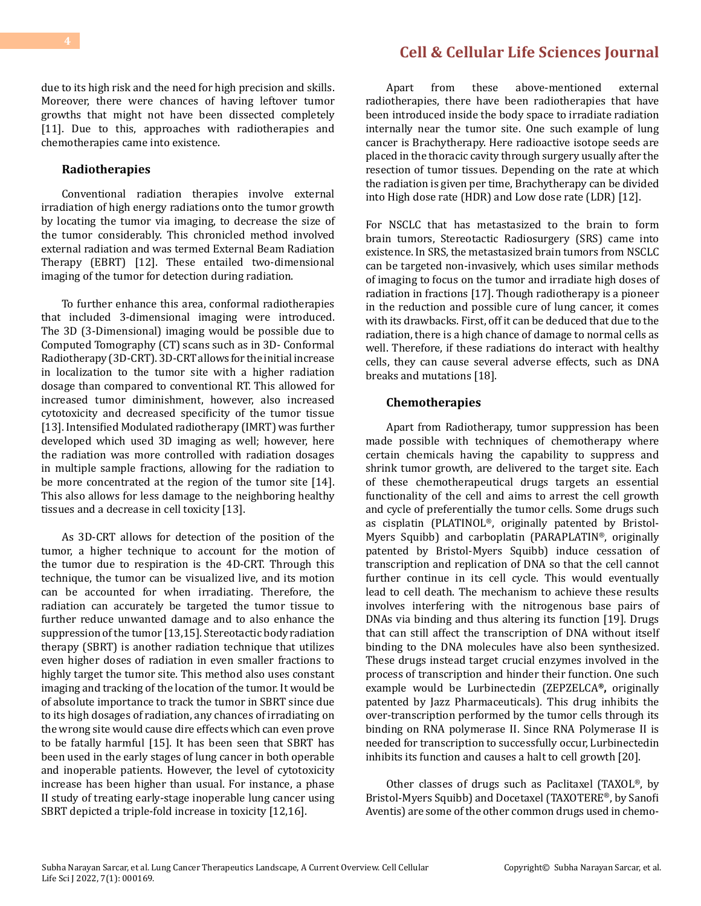due to its high risk and the need for high precision and skills. Moreover, there were chances of having leftover tumor growths that might not have been dissected completely [11]. Due to this, approaches with radiotherapies and chemotherapies came into existence.

#### **Radiotherapies**

Conventional radiation therapies involve external irradiation of high energy radiations onto the tumor growth by locating the tumor via imaging, to decrease the size of the tumor considerably. This chronicled method involved external radiation and was termed External Beam Radiation Therapy (EBRT) [12]. These entailed two-dimensional imaging of the tumor for detection during radiation.

To further enhance this area, conformal radiotherapies that included 3-dimensional imaging were introduced. The 3D (3-Dimensional) imaging would be possible due to Computed Tomography (CT) scans such as in 3D- Conformal Radiotherapy (3D-CRT). 3D-CRT allows for the initial increase in localization to the tumor site with a higher radiation dosage than compared to conventional RT. This allowed for increased tumor diminishment, however, also increased cytotoxicity and decreased specificity of the tumor tissue [13]. Intensified Modulated radiotherapy (IMRT) was further developed which used 3D imaging as well; however, here the radiation was more controlled with radiation dosages in multiple sample fractions, allowing for the radiation to be more concentrated at the region of the tumor site [14]. This also allows for less damage to the neighboring healthy tissues and a decrease in cell toxicity [13].

As 3D-CRT allows for detection of the position of the tumor, a higher technique to account for the motion of the tumor due to respiration is the 4D-CRT. Through this technique, the tumor can be visualized live, and its motion can be accounted for when irradiating. Therefore, the radiation can accurately be targeted the tumor tissue to further reduce unwanted damage and to also enhance the suppression of the tumor [13,15]. Stereotactic body radiation therapy (SBRT) is another radiation technique that utilizes even higher doses of radiation in even smaller fractions to highly target the tumor site. This method also uses constant imaging and tracking of the location of the tumor. It would be of absolute importance to track the tumor in SBRT since due to its high dosages of radiation, any chances of irradiating on the wrong site would cause dire effects which can even prove to be fatally harmful [15]. It has been seen that SBRT has been used in the early stages of lung cancer in both operable and inoperable patients. However, the level of cytotoxicity increase has been higher than usual. For instance, a phase II study of treating early-stage inoperable lung cancer using SBRT depicted a triple-fold increase in toxicity [12,16].

Apart from these above-mentioned external radiotherapies, there have been radiotherapies that have been introduced inside the body space to irradiate radiation internally near the tumor site. One such example of lung cancer is Brachytherapy. Here radioactive isotope seeds are placed in the thoracic cavity through surgery usually after the resection of tumor tissues. Depending on the rate at which the radiation is given per time, Brachytherapy can be divided into High dose rate (HDR) and Low dose rate (LDR) [12].

For NSCLC that has metastasized to the brain to form brain tumors, Stereotactic Radiosurgery (SRS) came into existence. In SRS, the metastasized brain tumors from NSCLC can be targeted non-invasively, which uses similar methods of imaging to focus on the tumor and irradiate high doses of radiation in fractions [17]. Though radiotherapy is a pioneer in the reduction and possible cure of lung cancer, it comes with its drawbacks. First, off it can be deduced that due to the radiation, there is a high chance of damage to normal cells as well. Therefore, if these radiations do interact with healthy cells, they can cause several adverse effects, such as DNA breaks and mutations [18].

#### **Chemotherapies**

Apart from Radiotherapy, tumor suppression has been made possible with techniques of chemotherapy where certain chemicals having the capability to suppress and shrink tumor growth, are delivered to the target site. Each of these chemotherapeutical drugs targets an essential functionality of the cell and aims to arrest the cell growth and cycle of preferentially the tumor cells. Some drugs such as cisplatin (PLATINOL®, originally patented by Bristol-Myers Squibb) and carboplatin (PARAPLATIN®, originally patented by Bristol-Myers Squibb) induce cessation of transcription and replication of DNA so that the cell cannot further continue in its cell cycle. This would eventually lead to cell death. The mechanism to achieve these results involves interfering with the nitrogenous base pairs of DNAs via binding and thus altering its function [19]. Drugs that can still affect the transcription of DNA without itself binding to the DNA molecules have also been synthesized. These drugs instead target crucial enzymes involved in the process of transcription and hinder their function. One such example would be Lurbinectedin (ZEPZELCA**®,** originally patented by Jazz Pharmaceuticals). This drug inhibits the over-transcription performed by the tumor cells through its binding on RNA polymerase II. Since RNA Polymerase II is needed for transcription to successfully occur, Lurbinectedin inhibits its function and causes a halt to cell growth [20].

Other classes of drugs such as Paclitaxel (TAXOL®, by Bristol-Myers Squibb) and Docetaxel (TAXOTERE®, by Sanofi Aventis) are some of the other common drugs used in chemo-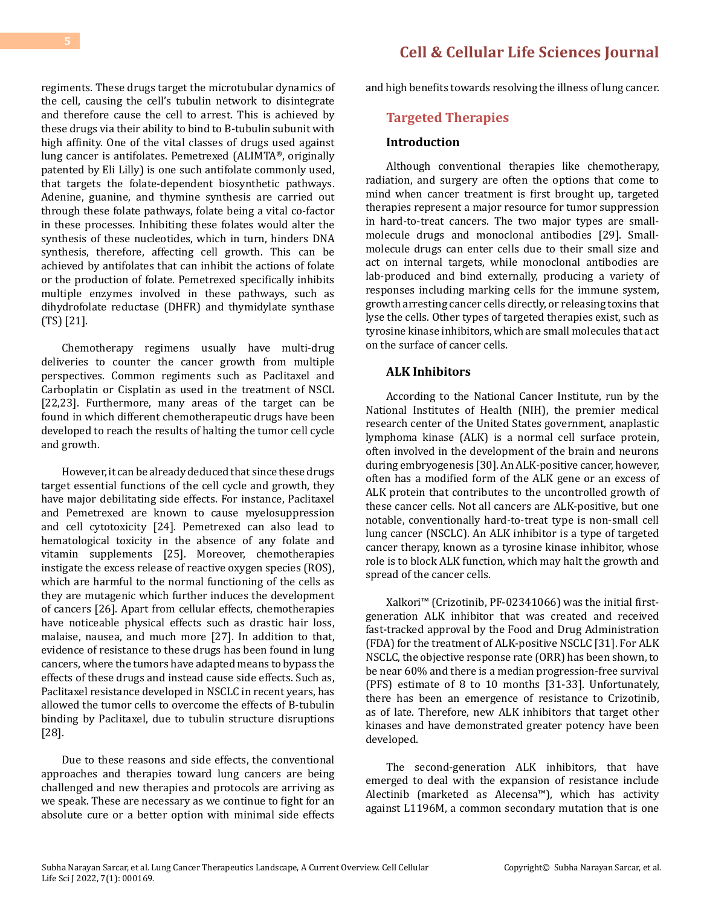regiments. These drugs target the microtubular dynamics of the cell, causing the cell's tubulin network to disintegrate and therefore cause the cell to arrest. This is achieved by these drugs via their ability to bind to B-tubulin subunit with high affinity. One of the vital classes of drugs used against lung cancer is antifolates. Pemetrexed (ALIMTA**®**, originally patented by Eli Lilly) is one such antifolate commonly used, that targets the folate-dependent biosynthetic pathways. Adenine, guanine, and thymine synthesis are carried out through these folate pathways, folate being a vital co-factor

in these processes. Inhibiting these folates would alter the synthesis of these nucleotides, which in turn, hinders DNA synthesis, therefore, affecting cell growth. This can be achieved by antifolates that can inhibit the actions of folate or the production of folate. Pemetrexed specifically inhibits multiple enzymes involved in these pathways, such as dihydrofolate reductase (DHFR) and thymidylate synthase (TS) [21].

Chemotherapy regimens usually have multi-drug deliveries to counter the cancer growth from multiple perspectives. Common regiments such as Paclitaxel and Carboplatin or Cisplatin as used in the treatment of NSCL [22,23]. Furthermore, many areas of the target can be found in which different chemotherapeutic drugs have been developed to reach the results of halting the tumor cell cycle and growth.

However, it can be already deduced that since these drugs target essential functions of the cell cycle and growth, they have major debilitating side effects. For instance, Paclitaxel and Pemetrexed are known to cause myelosuppression and cell cytotoxicity [24]. Pemetrexed can also lead to hematological toxicity in the absence of any folate and vitamin supplements [25]. Moreover, chemotherapies instigate the excess release of reactive oxygen species (ROS), which are harmful to the normal functioning of the cells as they are mutagenic which further induces the development of cancers [26]. Apart from cellular effects, chemotherapies have noticeable physical effects such as drastic hair loss, malaise, nausea, and much more [27]. In addition to that, evidence of resistance to these drugs has been found in lung cancers, where the tumors have adapted means to bypass the effects of these drugs and instead cause side effects. Such as, Paclitaxel resistance developed in NSCLC in recent years, has allowed the tumor cells to overcome the effects of B-tubulin binding by Paclitaxel, due to tubulin structure disruptions [28].

Due to these reasons and side effects, the conventional approaches and therapies toward lung cancers are being challenged and new therapies and protocols are arriving as we speak. These are necessary as we continue to fight for an absolute cure or a better option with minimal side effects and high benefits towards resolving the illness of lung cancer.

### **Targeted Therapies**

### **Introduction**

Although conventional therapies like chemotherapy, radiation, and surgery are often the options that come to mind when cancer treatment is first brought up, targeted therapies represent a major resource for tumor suppression in hard-to-treat cancers. The two major types are smallmolecule drugs and monoclonal antibodies [29]. Smallmolecule drugs can enter cells due to their small size and act on internal targets, while monoclonal antibodies are lab-produced and bind externally, producing a variety of responses including marking cells for the immune system, growth arresting cancer cells directly, or releasing toxins that lyse the cells. Other types of targeted therapies exist, such as tyrosine kinase inhibitors, which are small molecules that act on the surface of cancer cells.

#### **ALK Inhibitors**

According to the National Cancer Institute, run by the National Institutes of Health (NIH), the premier medical research center of the United States government, anaplastic lymphoma kinase (ALK) is a normal cell surface protein, often involved in the development of the brain and neurons during embryogenesis [30]. An ALK-positive cancer, however, often has a modified form of the ALK gene or an excess of ALK protein that contributes to the uncontrolled growth of these cancer cells. Not all cancers are ALK-positive, but one notable, conventionally hard-to-treat type is non-small cell lung cancer (NSCLC). An ALK inhibitor is a type of targeted cancer therapy, known as a tyrosine kinase inhibitor, whose role is to block ALK function, which may halt the growth and spread of the cancer cells.

Xalkori™ (Crizotinib, PF-02341066) was the initial firstgeneration ALK inhibitor that was created and received fast-tracked approval by the Food and Drug Administration (FDA) for the treatment of ALK-positive NSCLC [31]. For ALK NSCLC, the objective response rate (ORR) has been shown, to be near 60% and there is a median progression-free survival (PFS) estimate of 8 to 10 months [31-33]. Unfortunately, there has been an emergence of resistance to Crizotinib, as of late. Therefore, new ALK inhibitors that target other kinases and have demonstrated greater potency have been developed.

The second-generation ALK inhibitors, that have emerged to deal with the expansion of resistance include Alectinib (marketed as Alecensa™), which has activity against L1196M, a common secondary mutation that is one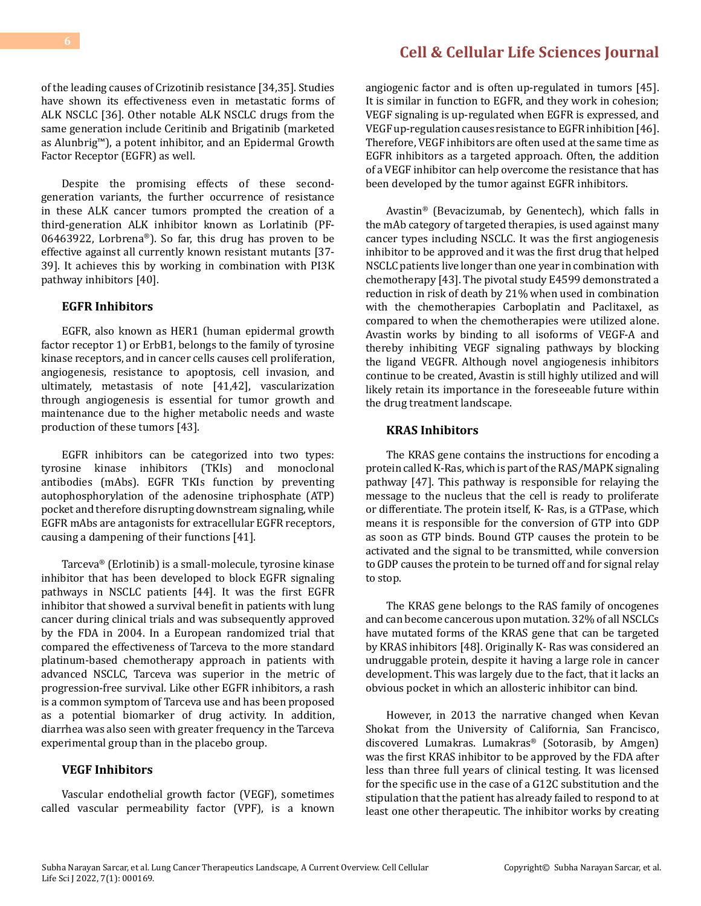of the leading causes of Crizotinib resistance [34,35]. Studies have shown its effectiveness even in metastatic forms of ALK NSCLC [36]. Other notable ALK NSCLC drugs from the same generation include Ceritinib and Brigatinib (marketed as Alunbrig™), a potent inhibitor, and an Epidermal Growth Factor Receptor (EGFR) as well.

Despite the promising effects of these secondgeneration variants, the further occurrence of resistance in these ALK cancer tumors prompted the creation of a third-generation ALK inhibitor known as Lorlatinib (PF-06463922, Lorbrena®). So far, this drug has proven to be effective against all currently known resistant mutants [37- 39]. It achieves this by working in combination with PI3K pathway inhibitors [40].

#### **EGFR Inhibitors**

EGFR, also known as HER1 (human epidermal growth factor receptor 1) or ErbB1, belongs to the family of tyrosine kinase receptors, and in cancer cells causes cell proliferation, angiogenesis, resistance to apoptosis, cell invasion, and ultimately, metastasis of note [41,42], vascularization through angiogenesis is essential for tumor growth and maintenance due to the higher metabolic needs and waste production of these tumors [43].

EGFR inhibitors can be categorized into two types: tyrosine kinase inhibitors (TKIs) and monoclonal antibodies (mAbs). EGFR TKIs function by preventing autophosphorylation of the adenosine triphosphate (ATP) pocket and therefore disrupting downstream signaling, while EGFR mAbs are antagonists for extracellular EGFR receptors, causing a dampening of their functions [41].

Tarceva® (Erlotinib) is a small-molecule, tyrosine kinase inhibitor that has been developed to block EGFR signaling pathways in NSCLC patients [44]. It was the first EGFR inhibitor that showed a survival benefit in patients with lung cancer during clinical trials and was subsequently approved by the FDA in 2004. In a European randomized trial that compared the effectiveness of Tarceva to the more standard platinum-based chemotherapy approach in patients with advanced NSCLC, Tarceva was superior in the metric of progression-free survival. Like other EGFR inhibitors, a rash is a common symptom of Tarceva use and has been proposed as a potential biomarker of drug activity. In addition, diarrhea was also seen with greater frequency in the Tarceva experimental group than in the placebo group.

#### **VEGF Inhibitors**

Vascular endothelial growth factor (VEGF), sometimes called vascular permeability factor (VPF), is a known

angiogenic factor and is often up-regulated in tumors [45]. It is similar in function to EGFR, and they work in cohesion; VEGF signaling is up-regulated when EGFR is expressed, and VEGF up-regulation causes resistance to EGFR inhibition [46]. Therefore, VEGF inhibitors are often used at the same time as EGFR inhibitors as a targeted approach. Often, the addition of a VEGF inhibitor can help overcome the resistance that has been developed by the tumor against EGFR inhibitors.

Avastin® (Bevacizumab, by Genentech), which falls in the mAb category of targeted therapies, is used against many cancer types including NSCLC. It was the first angiogenesis inhibitor to be approved and it was the first drug that helped NSCLC patients live longer than one year in combination with chemotherapy [43]. The pivotal study E4599 demonstrated a reduction in risk of death by 21% when used in combination with the chemotherapies Carboplatin and Paclitaxel, as compared to when the chemotherapies were utilized alone. Avastin works by binding to all isoforms of VEGF-A and thereby inhibiting VEGF signaling pathways by blocking the ligand VEGFR. Although novel angiogenesis inhibitors continue to be created, Avastin is still highly utilized and will likely retain its importance in the foreseeable future within the drug treatment landscape.

#### **KRAS Inhibitors**

The KRAS gene contains the instructions for encoding a protein called K-Ras, which is part of the RAS/MAPK signaling pathway [47]. This pathway is responsible for relaying the message to the nucleus that the cell is ready to proliferate or differentiate. The protein itself, K- Ras, is a GTPase, which means it is responsible for the conversion of GTP into GDP as soon as GTP binds. Bound GTP causes the protein to be activated and the signal to be transmitted, while conversion to GDP causes the protein to be turned off and for signal relay to stop.

The KRAS gene belongs to the RAS family of oncogenes and can become cancerous upon mutation. 32% of all NSCLCs have mutated forms of the KRAS gene that can be targeted by KRAS inhibitors [48]. Originally K- Ras was considered an undruggable protein, despite it having a large role in cancer development. This was largely due to the fact, that it lacks an obvious pocket in which an allosteric inhibitor can bind.

However, in 2013 the narrative changed when Kevan Shokat from the University of California, San Francisco, discovered Lumakras. Lumakras® (Sotorasib, by Amgen) was the first KRAS inhibitor to be approved by the FDA after less than three full years of clinical testing. It was licensed for the specific use in the case of a G12C substitution and the stipulation that the patient has already failed to respond to at least one other therapeutic. The inhibitor works by creating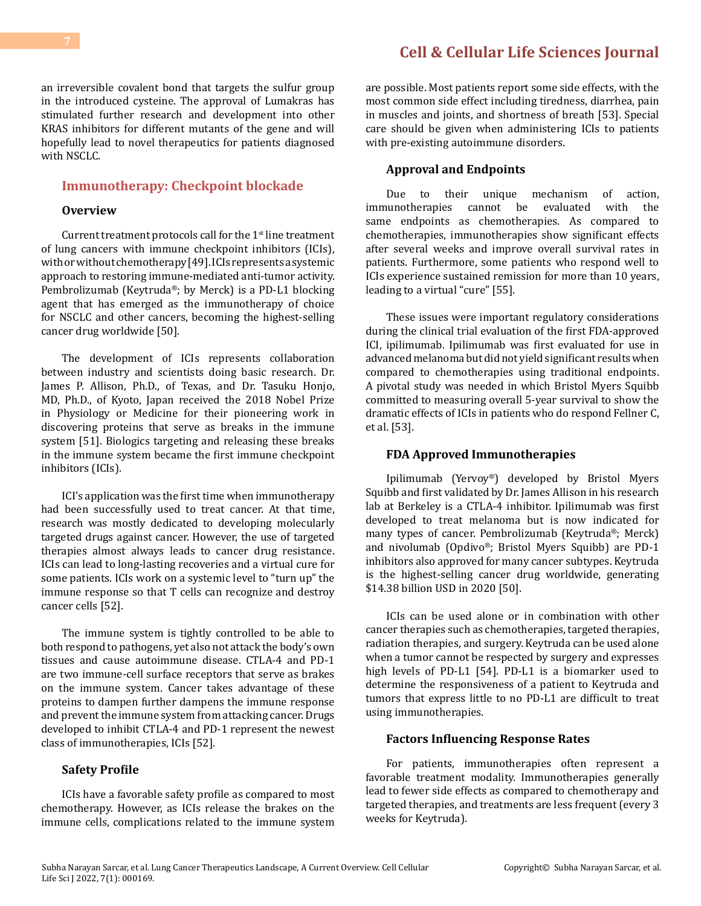an irreversible covalent bond that targets the sulfur group in the introduced cysteine. The approval of Lumakras has stimulated further research and development into other KRAS inhibitors for different mutants of the gene and will hopefully lead to novel therapeutics for patients diagnosed with NSCLC.

#### **Immunotherapy: Checkpoint blockade**

#### **Overview**

Current treatment protocols call for the  $1<sup>st</sup>$  line treatment of lung cancers with immune checkpoint inhibitors (ICIs), with or without chemotherapy [49]. ICIs represents a systemic approach to restoring immune-mediated anti-tumor activity. Pembrolizumab (Keytruda®; by Merck) is a PD-L1 blocking agent that has emerged as the immunotherapy of choice for NSCLC and other cancers, becoming the highest-selling cancer drug worldwide [50].

The development of ICIs represents collaboration between industry and scientists doing basic research. Dr. James P. Allison, Ph.D., of Texas, and Dr. Tasuku Honjo, MD, Ph.D., of Kyoto, Japan received the 2018 Nobel Prize in Physiology or Medicine for their pioneering work in discovering proteins that serve as breaks in the immune system [51]. Biologics targeting and releasing these breaks in the immune system became the first immune checkpoint inhibitors (ICIs).

ICI's application was the first time when immunotherapy had been successfully used to treat cancer. At that time, research was mostly dedicated to developing molecularly targeted drugs against cancer. However, the use of targeted therapies almost always leads to cancer drug resistance. ICIs can lead to long-lasting recoveries and a virtual cure for some patients. ICIs work on a systemic level to "turn up" the immune response so that T cells can recognize and destroy cancer cells [52].

The immune system is tightly controlled to be able to both respond to pathogens, yet also not attack the body's own tissues and cause autoimmune disease. CTLA-4 and PD-1 are two immune-cell surface receptors that serve as brakes on the immune system. Cancer takes advantage of these proteins to dampen further dampens the immune response and prevent the immune system from attacking cancer. Drugs developed to inhibit CTLA-4 and PD-1 represent the newest class of immunotherapies, ICIs [52].

#### **Safety Profile**

ICIs have a favorable safety profile as compared to most chemotherapy. However, as ICIs release the brakes on the immune cells, complications related to the immune system are possible. Most patients report some side effects, with the most common side effect including tiredness, diarrhea, pain in muscles and joints, and shortness of breath [53]. Special care should be given when administering ICIs to patients with pre-existing autoimmune disorders.

#### **Approval and Endpoints**

Due to their unique mechanism of action,<br>immunotherapies cannot be evaluated with the cannot be evaluated same endpoints as chemotherapies. As compared to chemotherapies, immunotherapies show significant effects after several weeks and improve overall survival rates in patients. Furthermore, some patients who respond well to ICIs experience sustained remission for more than 10 years, leading to a virtual "cure" [55].

These issues were important regulatory considerations during the clinical trial evaluation of the first FDA-approved ICI, ipilimumab. Ipilimumab was first evaluated for use in advanced melanoma but did not yield significant results when compared to chemotherapies using traditional endpoints. A pivotal study was needed in which Bristol Myers Squibb committed to measuring overall 5-year survival to show the dramatic effects of ICIs in patients who do respond Fellner C, et al. [53].

#### **FDA Approved Immunotherapies**

Ipilimumab (Yervoy®) developed by Bristol Myers Squibb and first validated by Dr. James Allison in his research lab at Berkeley is a CTLA-4 inhibitor. Ipilimumab was first developed to treat melanoma but is now indicated for many types of cancer. Pembrolizumab (Keytruda®; Merck) and nivolumab (Opdivo®; Bristol Myers Squibb) are PD-1 inhibitors also approved for many cancer subtypes. Keytruda is the highest-selling cancer drug worldwide, generating \$14.38 billion USD in 2020 [50].

ICIs can be used alone or in combination with other cancer therapies such as chemotherapies, targeted therapies, radiation therapies, and surgery. Keytruda can be used alone when a tumor cannot be respected by surgery and expresses high levels of PD-L1 [54]. PD-L1 is a biomarker used to determine the responsiveness of a patient to Keytruda and tumors that express little to no PD-L1 are difficult to treat using immunotherapies.

#### **Factors Influencing Response Rates**

For patients, immunotherapies often represent a favorable treatment modality. Immunotherapies generally lead to fewer side effects as compared to chemotherapy and targeted therapies, and treatments are less frequent (every 3 weeks for Keytruda).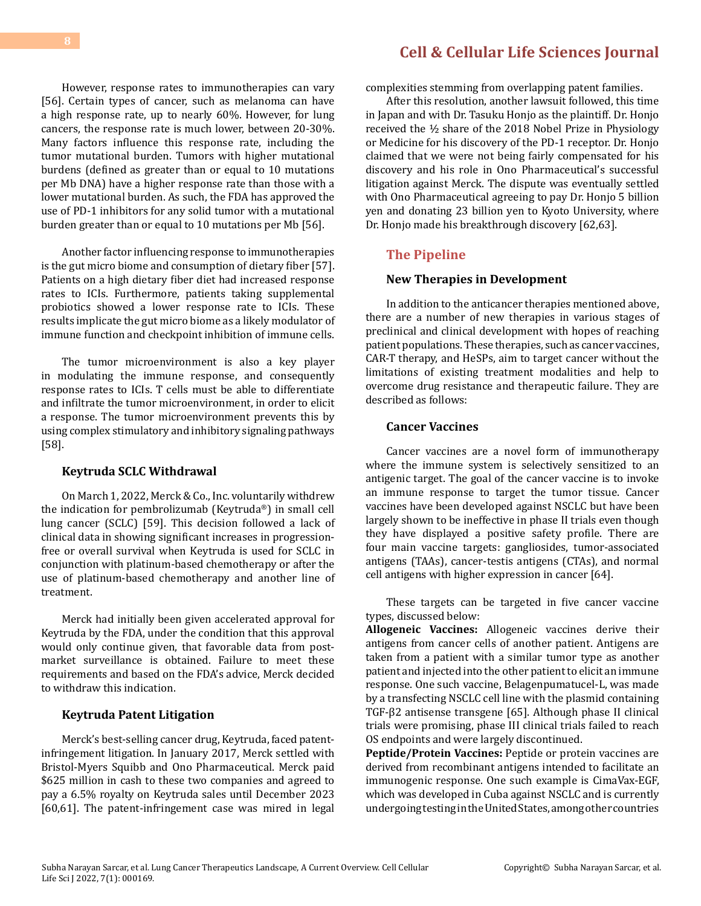However, response rates to immunotherapies can vary [56]. Certain types of cancer, such as melanoma can have a high response rate, up to nearly 60%. However, for lung cancers, the response rate is much lower, between 20-30%. Many factors influence this response rate, including the tumor mutational burden. Tumors with higher mutational burdens (defined as greater than or equal to 10 mutations per Mb DNA) have a higher response rate than those with a lower mutational burden. As such, the FDA has approved the use of PD-1 inhibitors for any solid tumor with a mutational burden greater than or equal to 10 mutations per Mb [56].

Another factor influencing response to immunotherapies is the gut micro biome and consumption of dietary fiber [57]. Patients on a high dietary fiber diet had increased response rates to ICIs. Furthermore, patients taking supplemental probiotics showed a lower response rate to ICIs. These results implicate the gut micro biome as a likely modulator of immune function and checkpoint inhibition of immune cells.

The tumor microenvironment is also a key player in modulating the immune response, and consequently response rates to ICIs. T cells must be able to differentiate and infiltrate the tumor microenvironment, in order to elicit a response. The tumor microenvironment prevents this by using complex stimulatory and inhibitory signaling pathways [58].

#### **Keytruda SCLC Withdrawal**

On March 1, 2022, Merck & Co., Inc. voluntarily withdrew the indication for pembrolizumab (Keytruda®) in small cell lung cancer (SCLC) [59]. This decision followed a lack of clinical data in showing significant increases in progressionfree or overall survival when Keytruda is used for SCLC in conjunction with platinum-based chemotherapy or after the use of platinum-based chemotherapy and another line of treatment.

Merck had initially been given accelerated approval for Keytruda by the FDA, under the condition that this approval would only continue given, that favorable data from postmarket surveillance is obtained. Failure to meet these requirements and based on the FDA's advice, Merck decided to withdraw this indication.

#### **Keytruda Patent Litigation**

Merck's best-selling cancer drug, Keytruda, faced patentinfringement litigation. In January 2017, Merck settled with Bristol-Myers Squibb and Ono Pharmaceutical. Merck paid \$625 million in cash to these two companies and agreed to pay a 6.5% royalty on Keytruda sales until December 2023 [60,61]. The patent-infringement case was mired in legal

### **[Cell & Cellular Life Sciences Journal](https://medwinpublishers.com/CCLSJ/)**

complexities stemming from overlapping patent families.

After this resolution, another lawsuit followed, this time in Japan and with Dr. Tasuku Honjo as the plaintiff. Dr. Honjo received the ½ share of the 2018 Nobel Prize in Physiology or Medicine for his discovery of the PD-1 receptor. Dr. Honjo claimed that we were not being fairly compensated for his discovery and his role in Ono Pharmaceutical's successful litigation against Merck. The dispute was eventually settled with Ono Pharmaceutical agreeing to pay Dr. Honjo 5 billion yen and donating 23 billion yen to Kyoto University, where Dr. Honjo made his breakthrough discovery [62,63].

#### **The Pipeline**

#### **New Therapies in Development**

In addition to the anticancer therapies mentioned above, there are a number of new therapies in various stages of preclinical and clinical development with hopes of reaching patient populations. These therapies, such as cancer vaccines, CAR-T therapy, and HeSPs, aim to target cancer without the limitations of existing treatment modalities and help to overcome drug resistance and therapeutic failure. They are described as follows:

#### **Cancer Vaccines**

Cancer vaccines are a novel form of immunotherapy where the immune system is selectively sensitized to an antigenic target. The goal of the cancer vaccine is to invoke an immune response to target the tumor tissue. Cancer vaccines have been developed against NSCLC but have been largely shown to be ineffective in phase II trials even though they have displayed a positive safety profile. There are four main vaccine targets: gangliosides, tumor-associated antigens (TAAs), cancer-testis antigens (CTAs), and normal cell antigens with higher expression in cancer [64].

These targets can be targeted in five cancer vaccine types, discussed below:

**Allogeneic Vaccines:** Allogeneic vaccines derive their antigens from cancer cells of another patient. Antigens are taken from a patient with a similar tumor type as another patient and injected into the other patient to elicit an immune response. One such vaccine, Belagenpumatucel-L, was made by a transfecting NSCLC cell line with the plasmid containing TGF-β2 antisense transgene [65]. Although phase II clinical trials were promising, phase III clinical trials failed to reach OS endpoints and were largely discontinued.

**Peptide/Protein Vaccines:** Peptide or protein vaccines are derived from recombinant antigens intended to facilitate an immunogenic response. One such example is CimaVax-EGF, which was developed in Cuba against NSCLC and is currently undergoing testing in the United States, among other countries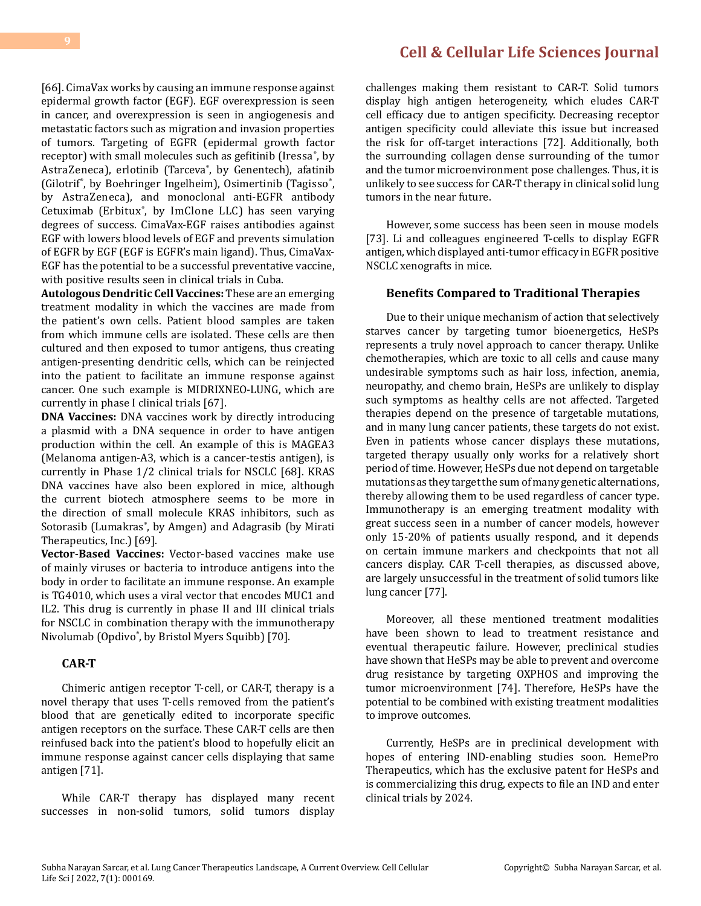[66]. CimaVax works by causing an immune response against epidermal growth factor (EGF). EGF overexpression is seen in cancer, and overexpression is seen in angiogenesis and metastatic factors such as migration and invasion properties of tumors. Targeting of EGFR (epidermal growth factor receptor) with small molecules such as gefitinib (Iressa $\degree$ , by AstraZeneca), erlotinib (Tarceva® , by Genentech), afatinib (Gilotrif°, by Boehringer Ingelheim), Osimertinib (Tagisso°, by AstraZeneca), and monoclonal anti-EGFR antibody Cetuximab (Erbitux® , by ImClone LLC) has seen varying degrees of success. CimaVax-EGF raises antibodies against EGF with lowers blood levels of EGF and prevents simulation of EGFR by EGF (EGF is EGFR's main ligand). Thus, CimaVax-EGF has the potential to be a successful preventative vaccine, with positive results seen in clinical trials in Cuba.

**Autologous Dendritic Cell Vaccines:** These are an emerging treatment modality in which the vaccines are made from the patient's own cells. Patient blood samples are taken from which immune cells are isolated. These cells are then cultured and then exposed to tumor antigens, thus creating antigen-presenting dendritic cells, which can be reinjected into the patient to facilitate an immune response against cancer. One such example is MIDRIXNEO-LUNG, which are currently in phase I clinical trials [67].

**DNA Vaccines:** DNA vaccines work by directly introducing a plasmid with a DNA sequence in order to have antigen production within the cell. An example of this is MAGEA3 (Melanoma antigen-A3, which is a cancer-testis antigen), is currently in Phase 1/2 clinical trials for NSCLC [68]. KRAS DNA vaccines have also been explored in mice, although the current biotech atmosphere seems to be more in the direction of small molecule KRAS inhibitors, such as Sotorasib (Lumakras® , by Amgen) and Adagrasib (by Mirati Therapeutics, Inc.) [69].

**Vector-Based Vaccines:** Vector-based vaccines make use of mainly viruses or bacteria to introduce antigens into the body in order to facilitate an immune response. An example is TG4010, which uses a viral vector that encodes MUC1 and IL2. This drug is currently in phase II and III clinical trials for NSCLC in combination therapy with the immunotherapy Nivolumab (Opdivo® , by Bristol Myers Squibb) [70].

### **CAR-T**

Chimeric antigen receptor T-cell, or CAR-T, therapy is a novel therapy that uses T-cells removed from the patient's blood that are genetically edited to incorporate specific antigen receptors on the surface. These CAR-T cells are then reinfused back into the patient's blood to hopefully elicit an immune response against cancer cells displaying that same antigen [71].

While CAR-T therapy has displayed many recent successes in non-solid tumors, solid tumors display

challenges making them resistant to CAR-T. Solid tumors display high antigen heterogeneity, which eludes CAR-T cell efficacy due to antigen specificity. Decreasing receptor antigen specificity could alleviate this issue but increased the risk for off-target interactions [72]. Additionally, both the surrounding collagen dense surrounding of the tumor and the tumor microenvironment pose challenges. Thus, it is unlikely to see success for CAR-T therapy in clinical solid lung tumors in the near future.

However, some success has been seen in mouse models [73]. Li and colleagues engineered T-cells to display EGFR antigen, which displayed anti-tumor efficacy in EGFR positive NSCLC xenografts in mice.

#### **Benefits Compared to Traditional Therapies**

Due to their unique mechanism of action that selectively starves cancer by targeting tumor bioenergetics, HeSPs represents a truly novel approach to cancer therapy. Unlike chemotherapies, which are toxic to all cells and cause many undesirable symptoms such as hair loss, infection, anemia, neuropathy, and chemo brain, HeSPs are unlikely to display such symptoms as healthy cells are not affected. Targeted therapies depend on the presence of targetable mutations, and in many lung cancer patients, these targets do not exist. Even in patients whose cancer displays these mutations, targeted therapy usually only works for a relatively short period of time. However, HeSPs due not depend on targetable mutations as they target the sum of many genetic alternations, thereby allowing them to be used regardless of cancer type. Immunotherapy is an emerging treatment modality with great success seen in a number of cancer models, however only 15-20% of patients usually respond, and it depends on certain immune markers and checkpoints that not all cancers display. CAR T-cell therapies, as discussed above, are largely unsuccessful in the treatment of solid tumors like lung cancer [77].

Moreover, all these mentioned treatment modalities have been shown to lead to treatment resistance and eventual therapeutic failure. However, preclinical studies have shown that HeSPs may be able to prevent and overcome drug resistance by targeting OXPHOS and improving the tumor microenvironment [74]. Therefore, HeSPs have the potential to be combined with existing treatment modalities to improve outcomes.

Currently, HeSPs are in preclinical development with hopes of entering IND-enabling studies soon. HemePro Therapeutics, which has the exclusive patent for HeSPs and is commercializing this drug, expects to file an IND and enter clinical trials by 2024.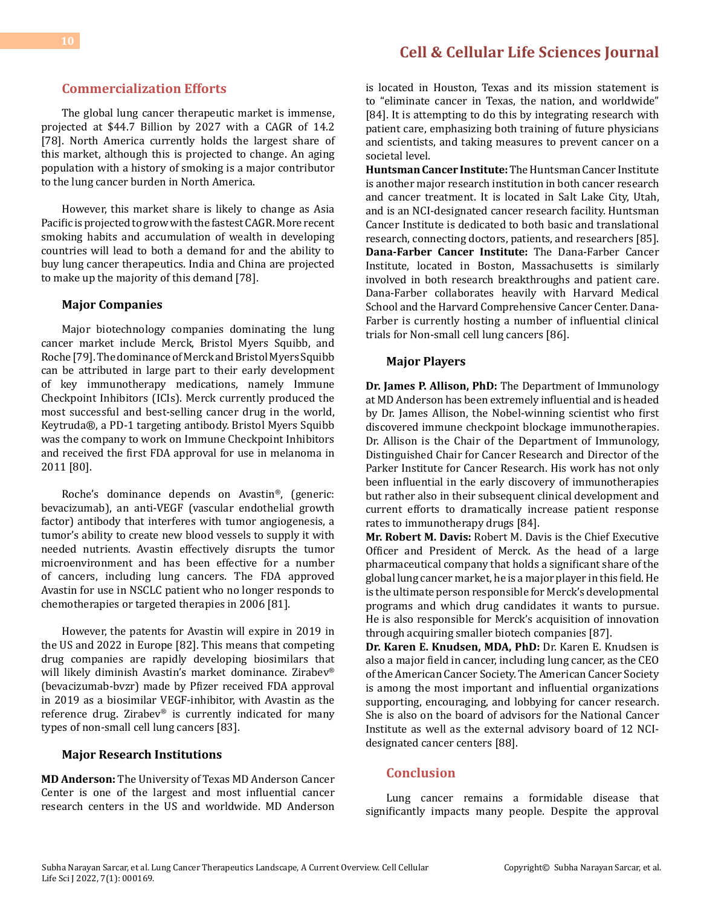### **Commercialization Efforts**

The global lung cancer therapeutic market is immense, projected at \$44.7 Billion by 2027 with a CAGR of 14.2 [78]. North America currently holds the largest share of this market, although this is projected to change. An aging population with a history of smoking is a major contributor to the lung cancer burden in North America.

However, this market share is likely to change as Asia Pacific is projected to grow with the fastest CAGR. More recent smoking habits and accumulation of wealth in developing countries will lead to both a demand for and the ability to buy lung cancer therapeutics. India and China are projected to make up the majority of this demand [78].

#### **Major Companies**

Major biotechnology companies dominating the lung cancer market include Merck, Bristol Myers Squibb, and Roche [79]. The dominance of Merck and Bristol Myers Squibb can be attributed in large part to their early development of key immunotherapy medications, namely Immune Checkpoint Inhibitors (ICIs). Merck currently produced the most successful and best-selling cancer drug in the world, Keytruda®, a PD-1 targeting antibody. Bristol Myers Squibb was the company to work on Immune Checkpoint Inhibitors and received the first FDA approval for use in melanoma in 2011 [80].

Roche's dominance depends on Avastin®, (generic: bevacizumab), an anti-VEGF (vascular endothelial growth factor) antibody that interferes with tumor angiogenesis, a tumor's ability to create new blood vessels to supply it with needed nutrients. Avastin effectively disrupts the tumor microenvironment and has been effective for a number of cancers, including lung cancers. The FDA approved Avastin for use in NSCLC patient who no longer responds to chemotherapies or targeted therapies in 2006 [81].

However, the patents for Avastin will expire in 2019 in the US and 2022 in Europe [82]. This means that competing drug companies are rapidly developing biosimilars that will likely diminish Avastin's market dominance. Zirabev® (bevacizumab-bvzr) made by Pfizer received FDA approval in 2019 as a biosimilar VEGF-inhibitor, with Avastin as the reference drug. Zirabev® is currently indicated for many types of non-small cell lung cancers [83].

#### **Major Research Institutions**

**MD Anderson:** The University of Texas MD Anderson Cancer Center is one of the largest and most influential cancer research centers in the US and worldwide. MD Anderson

is located in Houston, Texas and its mission statement is to "eliminate cancer in Texas, the nation, and worldwide" [84]. It is attempting to do this by integrating research with patient care, emphasizing both training of future physicians and scientists, and taking measures to prevent cancer on a societal level.

**Huntsman Cancer Institute:** The Huntsman Cancer Institute is another major research institution in both cancer research and cancer treatment. It is located in Salt Lake City, Utah, and is an NCI-designated cancer research facility. Huntsman Cancer Institute is dedicated to both basic and translational research, connecting doctors, patients, and researchers [85]. **Dana-Farber Cancer Institute:** The Dana-Farber Cancer Institute, located in Boston, Massachusetts is similarly involved in both research breakthroughs and patient care. Dana-Farber collaborates heavily with Harvard Medical School and the Harvard Comprehensive Cancer Center. Dana-Farber is currently hosting a number of influential clinical trials for Non-small cell lung cancers [86].

#### **Major Players**

**Dr. James P. Allison, PhD:** The Department of Immunology at MD Anderson has been extremely influential and is headed by Dr. James Allison, the Nobel-winning scientist who first discovered immune checkpoint blockage immunotherapies. Dr. Allison is the Chair of the Department of Immunology, Distinguished Chair for Cancer Research and Director of the Parker Institute for Cancer Research. His work has not only been influential in the early discovery of immunotherapies but rather also in their subsequent clinical development and current efforts to dramatically increase patient response rates to immunotherapy drugs [84].

**Mr. Robert M. Davis:** Robert M. Davis is the Chief Executive Officer and President of Merck. As the head of a large pharmaceutical company that holds a significant share of the global lung cancer market, he is a major player in this field. He is the ultimate person responsible for Merck's developmental programs and which drug candidates it wants to pursue. He is also responsible for Merck's acquisition of innovation through acquiring smaller biotech companies [87].

**Dr. Karen E. Knudsen, MDA, PhD:** Dr. Karen E. Knudsen is also a major field in cancer, including lung cancer, as the CEO of the American Cancer Society. The American Cancer Society is among the most important and influential organizations supporting, encouraging, and lobbying for cancer research. She is also on the board of advisors for the National Cancer Institute as well as the external advisory board of 12 NCIdesignated cancer centers [88].

#### **Conclusion**

Lung cancer remains a formidable disease that significantly impacts many people. Despite the approval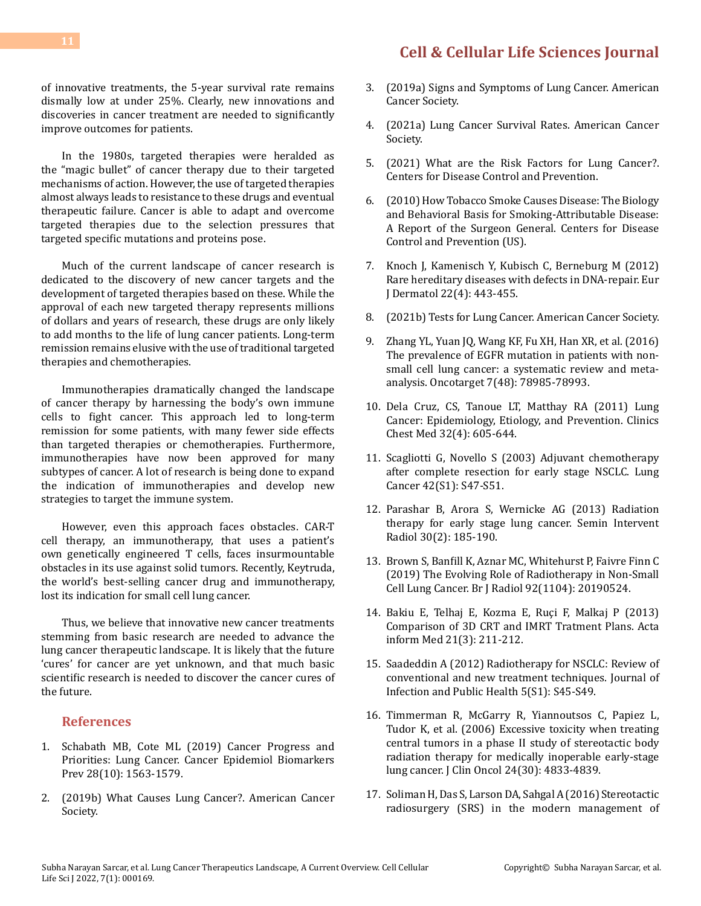of innovative treatments, the 5-year survival rate remains dismally low at under 25%. Clearly, new innovations and discoveries in cancer treatment are needed to significantly improve outcomes for patients.

In the 1980s, targeted therapies were heralded as the "magic bullet" of cancer therapy due to their targeted mechanisms of action. However, the use of targeted therapies almost always leads to resistance to these drugs and eventual therapeutic failure. Cancer is able to adapt and overcome targeted therapies due to the selection pressures that targeted specific mutations and proteins pose.

Much of the current landscape of cancer research is dedicated to the discovery of new cancer targets and the development of targeted therapies based on these. While the approval of each new targeted therapy represents millions of dollars and years of research, these drugs are only likely to add months to the life of lung cancer patients. Long-term remission remains elusive with the use of traditional targeted therapies and chemotherapies.

Immunotherapies dramatically changed the landscape of cancer therapy by harnessing the body's own immune cells to fight cancer. This approach led to long-term remission for some patients, with many fewer side effects than targeted therapies or chemotherapies. Furthermore, immunotherapies have now been approved for many subtypes of cancer. A lot of research is being done to expand the indication of immunotherapies and develop new strategies to target the immune system.

However, even this approach faces obstacles. CAR-T cell therapy, an immunotherapy, that uses a patient's own genetically engineered T cells, faces insurmountable obstacles in its use against solid tumors. Recently, Keytruda, the world's best-selling cancer drug and immunotherapy, lost its indication for small cell lung cancer.

Thus, we believe that innovative new cancer treatments stemming from basic research are needed to advance the lung cancer therapeutic landscape. It is likely that the future 'cures' for cancer are yet unknown, and that much basic scientific research is needed to discover the cancer cures of the future.

#### **References**

Life Sci J 2022, 7(1): 000169.

- 1. [Schabath MB, Cote ML \(2019\) Cancer Progress and](https://pubmed.ncbi.nlm.nih.gov/31575553/) [Priorities: Lung Cancer. Cancer Epidemiol Biomarkers](https://pubmed.ncbi.nlm.nih.gov/31575553/) [Prev 28\(10\): 1563-1579.](https://pubmed.ncbi.nlm.nih.gov/31575553/)
- 2. [\(2019b\) What Causes Lung Cancer?. American Cancer](https://www.cancer.org/cancer/lung-cancer/causes-risks-prevention/what-causes.html) [Society.](https://www.cancer.org/cancer/lung-cancer/causes-risks-prevention/what-causes.html)
- 3. [\(2019a\) Signs and Symptoms of Lung Cancer. American](https://www.cancer.org/cancer/lung-cancer/detection-diagnosis-staging/signs-symptoms.html) [Cancer Society](https://www.cancer.org/cancer/lung-cancer/detection-diagnosis-staging/signs-symptoms.html).
- 4. [\(2021a\) Lung Cancer Survival Rates. American Cancer](https://www.cancer.org/cancer/lung-cancer/detection-diagnosis-staging/survival-rates.html) [Society.](https://www.cancer.org/cancer/lung-cancer/detection-diagnosis-staging/survival-rates.html)
- 5. [\(2021\) What are the Risk Factors for Lung Cancer?.](https://www.cdc.gov/cancer/lung/basic_info/risk_factors.htm)  [Centers for Disease Control and Prevention.](https://www.cdc.gov/cancer/lung/basic_info/risk_factors.htm)
- 6. [\(2010\) How Tobacco Smoke Causes Disease: The Biology](https://www.ncbi.nlm.nih.gov/books/NBK53010/)  [and Behavioral Basis for Smoking-Attributable Disease:](https://www.ncbi.nlm.nih.gov/books/NBK53010/) [A Report of the Surgeon General. Centers for Disease](https://www.ncbi.nlm.nih.gov/books/NBK53010/) [Control and Prevention \(US\).](https://www.ncbi.nlm.nih.gov/books/NBK53010/)
- 7. [Knoch J, Kamenisch Y, Kubisch C, Berneburg M \(2012\)](https://pubmed.ncbi.nlm.nih.gov/22436139/) [Rare hereditary diseases with defects in DNA-repair. Eur](https://pubmed.ncbi.nlm.nih.gov/22436139/) [J Dermatol 22\(4\): 443-455.](https://pubmed.ncbi.nlm.nih.gov/22436139/)
- 8. [\(2021b\) Tests for Lung Cancer. American Cancer Society.](https://www.cancer.org/cancer/lung-cancer/detection-diagnosis-staging/how-diagnosed.html)
- 9. [Zhang YL, Yuan JQ, Wang KF, Fu XH, Han XR, et al. \(2016\)](https://pubmed.ncbi.nlm.nih.gov/27738317/) [The prevalence of EGFR mutation in patients with non](https://pubmed.ncbi.nlm.nih.gov/27738317/)[small cell lung cancer: a systematic review and meta](https://pubmed.ncbi.nlm.nih.gov/27738317/)[analysis. Oncotarget 7\(48\): 78985-78993.](https://pubmed.ncbi.nlm.nih.gov/27738317/)
- 10. [Dela Cruz, CS, Tanoue LT, Matthay RA \(2011\) Lung](https://pubmed.ncbi.nlm.nih.gov/22054876/)  [Cancer: Epidemiology, Etiology, and Prevention. Clinics](https://pubmed.ncbi.nlm.nih.gov/22054876/)  [Chest Med 32\(4\): 605-644.](https://pubmed.ncbi.nlm.nih.gov/22054876/)
- 11. [Scagliotti G, Novello S \(2003\) Adjuvant chemotherapy](https://pubmed.ncbi.nlm.nih.gov/14611914/)  [after complete resection for early stage NSCLC. Lung](https://pubmed.ncbi.nlm.nih.gov/14611914/) [Cancer 42\(S1\): S47-S51.](https://pubmed.ncbi.nlm.nih.gov/14611914/)
- 12. Parashar B, Arora S, Wernicke AG (2013) Radiation therapy for early stage lung cancer. Semin Intervent Radiol 30(2): 185-190.
- 13. [Brown S, Banfill K, Aznar MC, Whitehurst P, Faivre Finn C](https://pubmed.ncbi.nlm.nih.gov/31535580/) [\(2019\) The Evolving Role of Radiotherapy in Non-Small](https://pubmed.ncbi.nlm.nih.gov/31535580/)  [Cell Lung Cancer. Br J Radiol 92\(1104\): 20190524.](https://pubmed.ncbi.nlm.nih.gov/31535580/)
- 14. [Bakiu E, Telhaj E, Kozma E, Ruçi F, Malkaj P \(2013\)](https://pubmed.ncbi.nlm.nih.gov/24167395/) [Comparison of 3D CRT and IMRT Tratment Plans. Acta](https://pubmed.ncbi.nlm.nih.gov/24167395/)  [inform Med 21\(3\): 211-212.](https://pubmed.ncbi.nlm.nih.gov/24167395/)
- 15. [Saadeddin A \(2012\) Radiotherapy for NSCLC: Review of](https://www.sciencedirect.com/science/article/pii/S1876034112000962) [conventional and new treatment techniques. Journal of](https://www.sciencedirect.com/science/article/pii/S1876034112000962) [Infection and Public Health 5\(S1\): S45-S49.](https://www.sciencedirect.com/science/article/pii/S1876034112000962)
- 16. [Timmerman R, McGarry R, Yiannoutsos C, Papiez L,](https://pubmed.ncbi.nlm.nih.gov/17050868/) [Tudor K, et al. \(2006\) Excessive toxicity when treating](https://pubmed.ncbi.nlm.nih.gov/17050868/)  [central tumors in a phase II study of stereotactic body](https://pubmed.ncbi.nlm.nih.gov/17050868/) [radiation therapy for medically inoperable early-stage](https://pubmed.ncbi.nlm.nih.gov/17050868/)  [lung cancer. J Clin Oncol 24\(30\): 4833-4839.](https://pubmed.ncbi.nlm.nih.gov/17050868/)
- 17. [Soliman H, Das S, Larson DA, Sahgal A \(2016\) Stereotactic](https://pubmed.ncbi.nlm.nih.gov/26848525/)  [radiosurgery \(SRS\) in the modern management of](https://pubmed.ncbi.nlm.nih.gov/26848525/)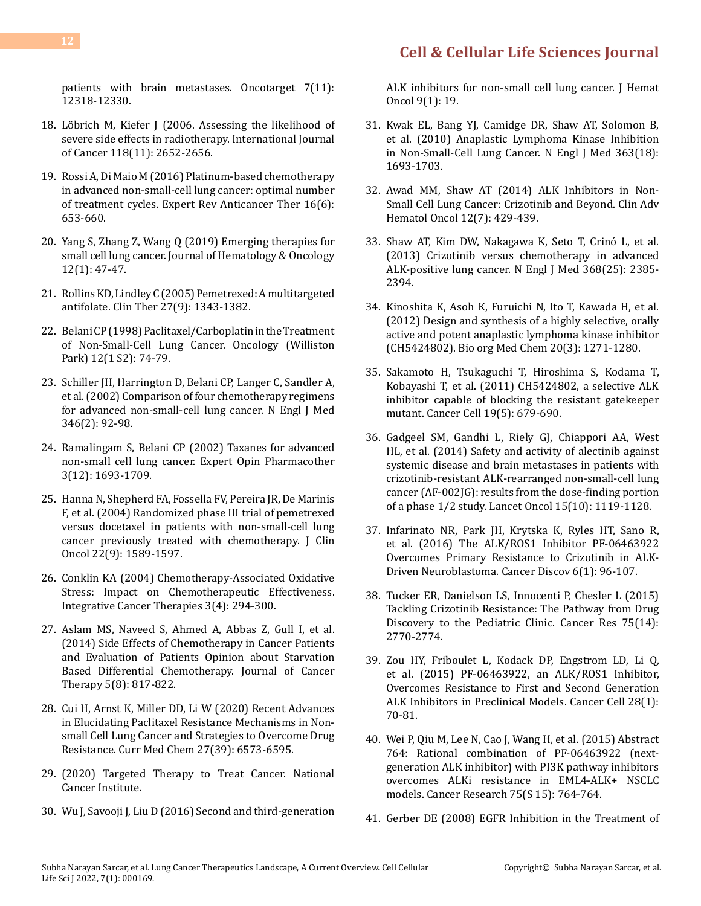[patients with brain metastases. Oncotarget 7\(11\):](https://pubmed.ncbi.nlm.nih.gov/26848525/) [12318-12330.](https://pubmed.ncbi.nlm.nih.gov/26848525/)

- 18. [Löbrich M, Kiefer J \(2006. Assessing the likelihood of](https://onlinelibrary.wiley.com/doi/10.1002/ijc.21782) [severe side effects in radiotherapy. International Journal](https://onlinelibrary.wiley.com/doi/10.1002/ijc.21782) [of Cancer 118\(11\): 2652-2656](https://onlinelibrary.wiley.com/doi/10.1002/ijc.21782).
- 19. [Rossi A, Di Maio M \(2016\) Platinum-based chemotherapy](https://pubmed.ncbi.nlm.nih.gov/27010977/) [in advanced non-small-cell lung cancer: optimal number](https://pubmed.ncbi.nlm.nih.gov/27010977/) [of treatment cycles. Expert Rev Anticancer Ther 16\(6\):](https://pubmed.ncbi.nlm.nih.gov/27010977/) [653-660.](https://pubmed.ncbi.nlm.nih.gov/27010977/)
- 20. [Yang S, Zhang Z, Wang Q \(2019\) Emerging therapies for](https://jhoonline.biomedcentral.com/articles/10.1186/s13045-019-0736-3) [small cell lung cancer. Journal of Hematology & Oncology](https://jhoonline.biomedcentral.com/articles/10.1186/s13045-019-0736-3) [12\(1\): 47-47.](https://jhoonline.biomedcentral.com/articles/10.1186/s13045-019-0736-3)
- 21. [Rollins KD, Lindley C \(2005\) Pemetrexed: A multitargeted](https://pubmed.ncbi.nlm.nih.gov/16291410/) [antifolate. Clin Ther 27\(9\): 1343-1382](https://pubmed.ncbi.nlm.nih.gov/16291410/).
- 22. [Belani CP \(1998\) Paclitaxel/Carboplatin in the Treatment](https://pubmed.ncbi.nlm.nih.gov/9516617/) [of Non-Small-Cell Lung Cancer. Oncology \(Williston](https://pubmed.ncbi.nlm.nih.gov/9516617/) [Park\) 12\(1 S2\): 74-79.](https://pubmed.ncbi.nlm.nih.gov/9516617/)
- 23. [Schiller JH, Harrington D, Belani CP, Langer C, Sandler A,](https://pubmed.ncbi.nlm.nih.gov/11784875/) [et al. \(2002\) Comparison of four chemotherapy regimens](https://pubmed.ncbi.nlm.nih.gov/11784875/) [for advanced non-small-cell lung cancer. N Engl J Med](https://pubmed.ncbi.nlm.nih.gov/11784875/) [346\(2\): 92-98.](https://pubmed.ncbi.nlm.nih.gov/11784875/)
- 24. [Ramalingam S, Belani CP \(2002\) Taxanes for advanced](https://www.tandfonline.com/doi/abs/10.1517/14656566.3.12.1693) [non-small cell lung cancer. Expert Opin Pharmacother](https://www.tandfonline.com/doi/abs/10.1517/14656566.3.12.1693) [3\(12\): 1693-1709.](https://www.tandfonline.com/doi/abs/10.1517/14656566.3.12.1693)
- 25. [Hanna N, Shepherd FA, Fossella FV, Pereira JR, De Marinis](https://pubmed.ncbi.nlm.nih.gov/15117980/) [F, et al. \(2004\) Randomized phase III trial of pemetrexed](https://pubmed.ncbi.nlm.nih.gov/15117980/) [versus docetaxel in patients with non-small-cell lung](https://pubmed.ncbi.nlm.nih.gov/15117980/) [cancer previously treated with chemotherapy. J Clin](https://pubmed.ncbi.nlm.nih.gov/15117980/) [Oncol 22\(9\): 1589-1597.](https://pubmed.ncbi.nlm.nih.gov/15117980/)
- 26. [Conklin KA \(2004\) Chemotherapy-Associated Oxidative](https://journals.sagepub.com/doi/10.1177/1534735404270335) [Stress: Impact on Chemotherapeutic Effectiveness.](https://journals.sagepub.com/doi/10.1177/1534735404270335) [Integrative Cancer Therapies 3\(4\): 294-300.](https://journals.sagepub.com/doi/10.1177/1534735404270335)
- 27. [Aslam MS, Naveed S, Ahmed A, Abbas Z, Gull I, et al.](https://www.scirp.org/journal/paperinformation.aspx?paperid=48061) [\(2014\) Side Effects of Chemotherapy in Cancer Patients](https://www.scirp.org/journal/paperinformation.aspx?paperid=48061) [and Evaluation of Patients Opinion about Starvation](https://www.scirp.org/journal/paperinformation.aspx?paperid=48061) [Based Differential Chemotherapy. Journal of Cancer](https://www.scirp.org/journal/paperinformation.aspx?paperid=48061) [Therapy 5\(8\): 817-822.](https://www.scirp.org/journal/paperinformation.aspx?paperid=48061)
- 28. [Cui H, Arnst K, Miller DD, Li W \(2020\) Recent Advances](https://pubmed.ncbi.nlm.nih.gov/33243106/) [in Elucidating Paclitaxel Resistance Mechanisms in Non](https://pubmed.ncbi.nlm.nih.gov/33243106/)[small Cell Lung Cancer and Strategies to Overcome Drug](https://pubmed.ncbi.nlm.nih.gov/33243106/) [Resistance. Curr Med Chem 27\(39\): 6573-6595.](https://pubmed.ncbi.nlm.nih.gov/33243106/)
- 29. [\(2020\) Targeted Therapy to Treat Cancer. National](https://www.cancer.gov/about-cancer/treatment/types/targeted-therapies) [Cancer Institute.](https://www.cancer.gov/about-cancer/treatment/types/targeted-therapies)
- 30. [Wu J, Savooji J, Liu D \(2016\) Second and third-generation](https://pubmed.ncbi.nlm.nih.gov/26951079/)

[ALK inhibitors for non-small cell lung cancer. J Hemat](https://pubmed.ncbi.nlm.nih.gov/26951079/) [Oncol 9\(1\): 19.](https://pubmed.ncbi.nlm.nih.gov/26951079/)

- 31. [Kwak EL, Bang YJ, Camidge DR, Shaw AT, Solomon B,](https://pubmed.ncbi.nlm.nih.gov/20979469/)  [et al. \(2010\) Anaplastic Lymphoma Kinase Inhibition](https://pubmed.ncbi.nlm.nih.gov/20979469/)  [in Non-Small-Cell Lung Cancer. N Engl J Med 363\(18\):](https://pubmed.ncbi.nlm.nih.gov/20979469/) [1693-1703.](https://pubmed.ncbi.nlm.nih.gov/20979469/)
- 32. [Awad MM, Shaw AT \(2014\) ALK Inhibitors in Non-](https://pubmed.ncbi.nlm.nih.gov/25322323/)[Small Cell Lung Cancer: Crizotinib and Beyond. Clin Adv](https://pubmed.ncbi.nlm.nih.gov/25322323/)  [Hematol Oncol 12\(7\): 429-439.](https://pubmed.ncbi.nlm.nih.gov/25322323/)
- 33. [Shaw AT, Kim DW, Nakagawa K, Seto T, Crinó L, et al.](https://pubmed.ncbi.nlm.nih.gov/23724913/)  [\(2013\) Crizotinib versus chemotherapy in advanced](https://pubmed.ncbi.nlm.nih.gov/23724913/) [ALK-positive lung cancer. N Engl J Med 368\(25\): 2385-](https://pubmed.ncbi.nlm.nih.gov/23724913/) [2394.](https://pubmed.ncbi.nlm.nih.gov/23724913/)
- 34. [Kinoshita K, Asoh K, Furuichi N, Ito T, Kawada H, et al.](https://pubmed.ncbi.nlm.nih.gov/22225917/)  [\(2012\) Design and synthesis of a highly selective, orally](https://pubmed.ncbi.nlm.nih.gov/22225917/)  [active and potent anaplastic lymphoma kinase inhibitor](https://pubmed.ncbi.nlm.nih.gov/22225917/) [\(CH5424802\). Bio org Med Chem 20\(3\): 1271-1280.](https://pubmed.ncbi.nlm.nih.gov/22225917/)
- 35. [Sakamoto H, Tsukaguchi T, Hiroshima S, Kodama T,](https://pubmed.ncbi.nlm.nih.gov/21575866/)  [Kobayashi T, et al. \(2011\) CH5424802, a selective ALK](https://pubmed.ncbi.nlm.nih.gov/21575866/)  [inhibitor capable of blocking the resistant gatekeeper](https://pubmed.ncbi.nlm.nih.gov/21575866/) [mutant. Cancer Cell 19\(5\): 679-690.](https://pubmed.ncbi.nlm.nih.gov/21575866/)
- 36. [Gadgeel SM, Gandhi L, Riely GJ, Chiappori AA, West](https://pubmed.ncbi.nlm.nih.gov/25153538/)  [HL, et al. \(2014\) Safety and activity of alectinib against](https://pubmed.ncbi.nlm.nih.gov/25153538/)  [systemic disease and brain metastases in patients with](https://pubmed.ncbi.nlm.nih.gov/25153538/)  [crizotinib-resistant ALK-rearranged non-small-cell lung](https://pubmed.ncbi.nlm.nih.gov/25153538/)  [cancer \(AF-002JG\): results from the dose-finding portion](https://pubmed.ncbi.nlm.nih.gov/25153538/) [of a phase 1/2 study. Lancet Oncol 15\(10\): 1119-1128.](https://pubmed.ncbi.nlm.nih.gov/25153538/)
- 37. [Infarinato NR, Park JH, Krytska K, Ryles HT, Sano R,](https://pubmed.ncbi.nlm.nih.gov/26554404/)  [et al. \(2016\) The ALK/ROS1 Inhibitor PF-06463922](https://pubmed.ncbi.nlm.nih.gov/26554404/) [Overcomes Primary Resistance to Crizotinib in ALK-](https://pubmed.ncbi.nlm.nih.gov/26554404/)[Driven Neuroblastoma. Cancer Discov 6\(1\): 96-107.](https://pubmed.ncbi.nlm.nih.gov/26554404/)
- 38. [Tucker ER, Danielson LS, Innocenti P, Chesler L \(2015\)](https://pubmed.ncbi.nlm.nih.gov/26122839/) [Tackling Crizotinib Resistance: The Pathway from Drug](https://pubmed.ncbi.nlm.nih.gov/26122839/) [Discovery to the Pediatric Clinic. Cancer Res 75\(14\):](https://pubmed.ncbi.nlm.nih.gov/26122839/) [2770-2774.](https://pubmed.ncbi.nlm.nih.gov/26122839/)
- 39. [Zou HY, Friboulet L, Kodack DP, Engstrom LD, Li Q,](https://pubmed.ncbi.nlm.nih.gov/26144315/) [et al. \(2015\) PF-06463922, an ALK/ROS1 Inhibitor,](https://pubmed.ncbi.nlm.nih.gov/26144315/)  [Overcomes Resistance to First and Second Generation](https://pubmed.ncbi.nlm.nih.gov/26144315/) [ALK Inhibitors in Preclinical Models. Cancer Cell 28\(1\):](https://pubmed.ncbi.nlm.nih.gov/26144315/) [70-81.](https://pubmed.ncbi.nlm.nih.gov/26144315/)
- 40. [Wei P, Qiu M, Lee N, Cao J, Wang H, et al. \(2015\) Abstract](https://aacrjournals.org/cancerres/article/75/15_Supplement/764/604948/Abstract-764-Rational-combination-of-PF-06463922)  [764: Rational combination of PF-06463922 \(next](https://aacrjournals.org/cancerres/article/75/15_Supplement/764/604948/Abstract-764-Rational-combination-of-PF-06463922)[generation ALK inhibitor\) with PI3K pathway inhibitors](https://aacrjournals.org/cancerres/article/75/15_Supplement/764/604948/Abstract-764-Rational-combination-of-PF-06463922)  [overcomes ALKi resistance in EML4-ALK+ NSCLC](https://aacrjournals.org/cancerres/article/75/15_Supplement/764/604948/Abstract-764-Rational-combination-of-PF-06463922) [models. Cancer Research 75\(S 15\): 764-764.](https://aacrjournals.org/cancerres/article/75/15_Supplement/764/604948/Abstract-764-Rational-combination-of-PF-06463922)
- 41. [Gerber DE \(2008\) EGFR Inhibition in the Treatment of](https://pubmed.ncbi.nlm.nih.gov/19562083/)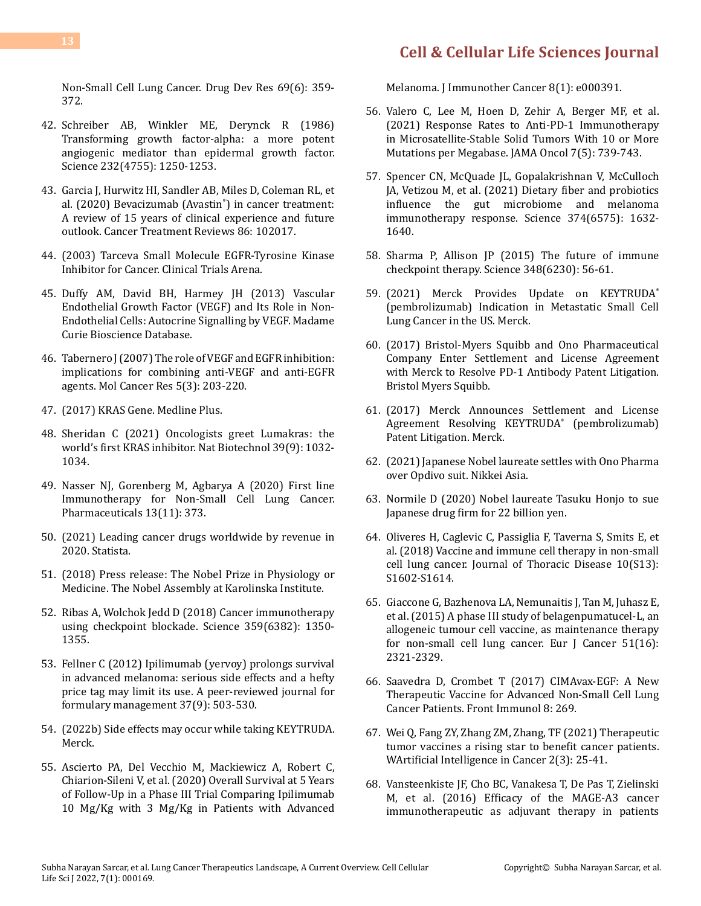[Non-Small Cell Lung Cancer. Drug Dev Res 69\(6\): 359-](https://pubmed.ncbi.nlm.nih.gov/19562083/) [372.](https://pubmed.ncbi.nlm.nih.gov/19562083/)

- 42. [Schreiber AB, Winkler ME, Derynck R \(1986\)](https://www.science.org/doi/10.1126/science.2422759) [Transforming growth factor-alpha: a more potent](https://www.science.org/doi/10.1126/science.2422759) [angiogenic mediator than epidermal growth factor.](https://www.science.org/doi/10.1126/science.2422759) [Science 232\(4755\): 1250-1253.](https://www.science.org/doi/10.1126/science.2422759)
- 43. [Garcia J, Hurwitz HI, Sandler AB, Miles D, Coleman RL, et](https://www.cancertreatmentreviews.com/article/S0305-7372(20)30055-4/fulltext) [al. \(2020\) Bevacizumab \(Avastin](https://www.cancertreatmentreviews.com/article/S0305-7372(20)30055-4/fulltext)® ) in cancer treatment: [A review of 15 years of clinical experience and future](https://www.cancertreatmentreviews.com/article/S0305-7372(20)30055-4/fulltext) [outlook. Cancer Treatment Reviews 86: 102017.](https://www.cancertreatmentreviews.com/article/S0305-7372(20)30055-4/fulltext)
- 44. [\(2003\) Tarceva Small Molecule EGFR-Tyrosine Kinase](https://www.clinicaltrialsarena.com/projects/tarceva/) [Inhibitor for Cancer. Clinical Trials Arena.](https://www.clinicaltrialsarena.com/projects/tarceva/)
- 45. [Duffy AM, David BH, Harmey JH \(2013\) Vascular](https://www.ncbi.nlm.nih.gov/books/NBK6482/) [Endothelial Growth Factor \(VEGF\) and Its Role in Non-](https://www.ncbi.nlm.nih.gov/books/NBK6482/)[Endothelial Cells: Autocrine Signalling by VEGF. Madame](https://www.ncbi.nlm.nih.gov/books/NBK6482/) [Curie Bioscience Database.](https://www.ncbi.nlm.nih.gov/books/NBK6482/)
- 46. [Tabernero J \(2007\) The role of VEGF and EGFR inhibition:](https://aacrjournals.org/mcr/article/5/3/203/233155/The-Role-of-VEGF-and-EGFR-Inhibition-Implications) [implications for combining anti-VEGF and anti-EGFR](https://aacrjournals.org/mcr/article/5/3/203/233155/The-Role-of-VEGF-and-EGFR-Inhibition-Implications) [agents. Mol Cancer Res 5\(3\): 203-220.](https://aacrjournals.org/mcr/article/5/3/203/233155/The-Role-of-VEGF-and-EGFR-Inhibition-Implications)
- 47. (2017) KRAS Gene. Medline Plus.
- 48. [Sheridan C \(2021\) Oncologists greet Lumakras: the](https://pubmed.ncbi.nlm.nih.gov/34504350/) [world's first KRAS inhibitor. Nat Biotechnol 39\(9\): 1032-](https://pubmed.ncbi.nlm.nih.gov/34504350/) [1034.](https://pubmed.ncbi.nlm.nih.gov/34504350/)
- 49. [Nasser NJ, Gorenberg M, Agbarya A \(2020\) First line](https://www.mdpi.com/1424-8247/13/11/373) [Immunotherapy for Non-Small Cell Lung Cancer.](https://www.mdpi.com/1424-8247/13/11/373) [Pharmaceuticals 13\(11\): 373](https://www.mdpi.com/1424-8247/13/11/373).
- 50. [\(2021\) Leading cancer drugs worldwide by revenue in](https://www.statista.com/statistics/288538/top-cancer-drugs-based-on-revenue/) [2020. Statista.](https://www.statista.com/statistics/288538/top-cancer-drugs-based-on-revenue/)
- 51. [\(2018\) Press release: The Nobel Prize in Physiology or](https://www.nobelprize.org/prizes/medicine/2018/press-release/) [Medicine. The Nobel Assembly at Karolinska Institute.](https://www.nobelprize.org/prizes/medicine/2018/press-release/)
- 52. [Ribas A, Wolchok Jedd D \(2018\) Cancer immunotherapy](https://pubmed.ncbi.nlm.nih.gov/29567705/) [using checkpoint blockade. Science 359\(6382\): 1350-](https://pubmed.ncbi.nlm.nih.gov/29567705/) [1355](https://pubmed.ncbi.nlm.nih.gov/29567705/).
- 53. [Fellner C \(2012\) Ipilimumab \(yervoy\) prolongs survival](https://pubmed.ncbi.nlm.nih.gov/23066344/) [in advanced melanoma: serious side effects and a hefty](https://pubmed.ncbi.nlm.nih.gov/23066344/) [price tag may limit its use. A peer-reviewed journal for](https://pubmed.ncbi.nlm.nih.gov/23066344/) [formulary management 37\(9\): 503-530.](https://pubmed.ncbi.nlm.nih.gov/23066344/)
- 54. [\(2022b\) Side effects may occur while taking KEYTRUDA.](https://www.keytruda.com/side-effects/) [Merck.](https://www.keytruda.com/side-effects/)
- 55. [Ascierto PA, Del Vecchio M, Mackiewicz A, Robert C,](https://pubmed.ncbi.nlm.nih.gov/32503946/) [Chiarion-Sileni V, et al. \(2020\) Overall Survival at 5 Years](https://pubmed.ncbi.nlm.nih.gov/32503946/) [of Follow-Up in a Phase III Trial Comparing Ipilimumab](https://pubmed.ncbi.nlm.nih.gov/32503946/) [10 Mg/Kg with 3 Mg/Kg in Patients with Advanced](https://pubmed.ncbi.nlm.nih.gov/32503946/)

[Melanoma. J Immunother Cancer 8\(1\): e000391.](https://pubmed.ncbi.nlm.nih.gov/32503946/)

- 56. [Valero C, Lee M, Hoen D, Zehir A, Berger MF, et al.](https://pubmed.ncbi.nlm.nih.gov/33599686/)  [\(2021\) Response Rates to Anti-PD-1 Immunotherapy](https://pubmed.ncbi.nlm.nih.gov/33599686/)  [in Microsatellite-Stable Solid Tumors With 10 or More](https://pubmed.ncbi.nlm.nih.gov/33599686/) [Mutations per Megabase. JAMA Oncol 7\(5\): 739-743.](https://pubmed.ncbi.nlm.nih.gov/33599686/)
- 57. [Spencer CN, McQuade JL, Gopalakrishnan V, McCulloch](https://pubmed.ncbi.nlm.nih.gov/34941392/)  [JA, Vetizou M, et al. \(2021\) Dietary fiber and probiotics](https://pubmed.ncbi.nlm.nih.gov/34941392/) [influence the gut microbiome and melanoma](https://pubmed.ncbi.nlm.nih.gov/34941392/)  [immunotherapy response. Science 374\(6575\): 1632-](https://pubmed.ncbi.nlm.nih.gov/34941392/) [1640.](https://pubmed.ncbi.nlm.nih.gov/34941392/)
- 58. [Sharma P, Allison JP \(2015\) The future of immune](https://pubmed.ncbi.nlm.nih.gov/25838373/)  [checkpoint therapy. Science 348\(6230\): 56-61.](https://pubmed.ncbi.nlm.nih.gov/25838373/)
- 59. [\(2021\) Merck Provides Update on KEYTRUDA](https://www.merck.com/news/merck-provides-update-on-keytruda-pembrolizumab-indication-in-metastatic-small-cell-lung-cancer-in-the-us/)® [\(pembrolizumab\) Indication in Metastatic Small Cell](https://www.merck.com/news/merck-provides-update-on-keytruda-pembrolizumab-indication-in-metastatic-small-cell-lung-cancer-in-the-us/) [Lung Cancer in the US. Merck.](https://www.merck.com/news/merck-provides-update-on-keytruda-pembrolizumab-indication-in-metastatic-small-cell-lung-cancer-in-the-us/)
- 60. [\(2017\) Bristol-Myers Squibb and Ono Pharmaceutical](https://news.bms.com/news/details/2017/Bristol-Myers-Squibb-and-Ono-Pharmaceutical-Company-Enter-Settlement-and-License-Agreement-with-Merck-to-Resolve-PD-1-Antibody-Patent-Litigation/default.aspx)  [Company Enter Settlement and License Agreement](https://news.bms.com/news/details/2017/Bristol-Myers-Squibb-and-Ono-Pharmaceutical-Company-Enter-Settlement-and-License-Agreement-with-Merck-to-Resolve-PD-1-Antibody-Patent-Litigation/default.aspx) [with Merck to Resolve PD-1 Antibody Patent Litigation.](https://news.bms.com/news/details/2017/Bristol-Myers-Squibb-and-Ono-Pharmaceutical-Company-Enter-Settlement-and-License-Agreement-with-Merck-to-Resolve-PD-1-Antibody-Patent-Litigation/default.aspx)  [Bristol Myers Squibb.](https://news.bms.com/news/details/2017/Bristol-Myers-Squibb-and-Ono-Pharmaceutical-Company-Enter-Settlement-and-License-Agreement-with-Merck-to-Resolve-PD-1-Antibody-Patent-Litigation/default.aspx)
- 61. [\(2017\) Merck Announces Settlement and License](https://www.merck.com/news/merck-announces-settlement-and-license-agreement-resolving-keytruda-pembrolizumab-patent-litigation/) [Agreement Resolving KEYTRUDA](https://www.merck.com/news/merck-announces-settlement-and-license-agreement-resolving-keytruda-pembrolizumab-patent-litigation/)® (pembrolizumab) [Patent Litigation. Merck.](https://www.merck.com/news/merck-announces-settlement-and-license-agreement-resolving-keytruda-pembrolizumab-patent-litigation/)
- 62. [\(2021\) Japanese Nobel laureate settles with Ono Pharma](https://asia.nikkei.com/Business/Pharmaceuticals/Japanese-Nobel-laureate-settles-with-Ono-Pharma-over-Opdivo-suit) [over Opdivo suit. Nikkei Asia.](https://asia.nikkei.com/Business/Pharmaceuticals/Japanese-Nobel-laureate-settles-with-Ono-Pharma-over-Opdivo-suit)
- 63. [Normile D \(2020\) Nobel laureate Tasuku Honjo to sue](https://www.science.org/content/article/nobel-laureate-tasuku-honjo-sue-japanese-drug-firm-22-billion-yen) [Japanese drug firm for 22 billion yen](https://www.science.org/content/article/nobel-laureate-tasuku-honjo-sue-japanese-drug-firm-22-billion-yen).
- 64. [Oliveres H, Caglevic C, Passiglia F, Taverna S, Smits E, et](https://pubmed.ncbi.nlm.nih.gov/29951309/)  [al. \(2018\) Vaccine and immune cell therapy in non-small](https://pubmed.ncbi.nlm.nih.gov/29951309/)  [cell lung cancer. Journal of Thoracic Disease 10\(S13\):](https://pubmed.ncbi.nlm.nih.gov/29951309/) [S1602-S1614.](https://pubmed.ncbi.nlm.nih.gov/29951309/)
- 65. [Giaccone G, Bazhenova LA, Nemunaitis J, Tan M, Juhasz E,](https://pubmed.ncbi.nlm.nih.gov/26283035/)  [et al. \(2015\) A phase III study of belagenpumatucel-L, an](https://pubmed.ncbi.nlm.nih.gov/26283035/)  [allogeneic tumour cell vaccine, as maintenance therapy](https://pubmed.ncbi.nlm.nih.gov/26283035/)  [for non-small cell lung cancer. Eur J Cancer 51\(16\):](https://pubmed.ncbi.nlm.nih.gov/26283035/) [2321-2329.](https://pubmed.ncbi.nlm.nih.gov/26283035/)
- 66. [Saavedra D, Crombet T \(2017\) CIMAvax-EGF: A New](https://pubmed.ncbi.nlm.nih.gov/28348561/)  [Therapeutic Vaccine for Advanced Non-Small Cell Lung](https://pubmed.ncbi.nlm.nih.gov/28348561/)  [Cancer Patients. Front Immunol 8: 269.](https://pubmed.ncbi.nlm.nih.gov/28348561/)
- 67. [Wei Q, Fang ZY, Zhang ZM, Zhang, TF \(2021\) Therapeutic](https://www.scilit.net/article/fe269e434202f9c5f5f98908c614470f)  [tumor vaccines a rising star to benefit cancer patients.](https://www.scilit.net/article/fe269e434202f9c5f5f98908c614470f)  [WArtificial Intelligence in Cancer 2\(3\): 25-41.](https://www.scilit.net/article/fe269e434202f9c5f5f98908c614470f)
- 68. [Vansteenkiste JF, Cho BC, Vanakesa T, De Pas T, Zielinski](https://pubmed.ncbi.nlm.nih.gov/27132212/)  [M, et al. \(2016\) Efficacy of the MAGE-A3 cancer](https://pubmed.ncbi.nlm.nih.gov/27132212/) [immunotherapeutic as adjuvant therapy in patients](https://pubmed.ncbi.nlm.nih.gov/27132212/)